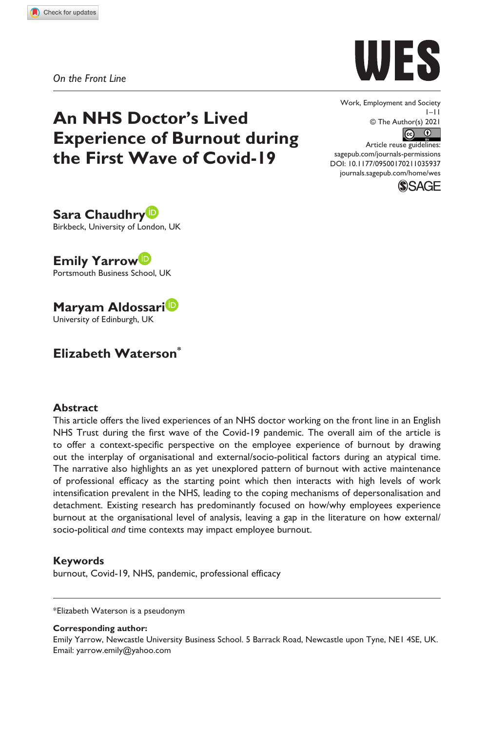

*On the Front Line*

# **An NHS Doctor's Lived Experience of Burnout during the First Wave of Covid-19**

Work, Employment and Society 1–11 © The Author(s) 2021  $\begin{array}{cc} \textcircled{c} & \textcircled{0} \end{array}$ 

DOI: 10.1177/09500170211035937 Article reuse guidelines: [sagepub.com/journals-permissions](https://uk.sagepub.com/en-gb/journals-permissions) [journals.sagepub.com/home/wes](https://journals.sagepub.com/home/wes)



**Sara Chaudhry** Birkbeck, University of London, UK

**Emily Yarrow** Portsmouth Business School, UK

**Maryam Aldossari** University of Edinburgh, UK

# **Elizabeth Waterson\***

### **Abstract**

This article offers the lived experiences of an NHS doctor working on the front line in an English NHS Trust during the first wave of the Covid-19 pandemic. The overall aim of the article is to offer a context-specific perspective on the employee experience of burnout by drawing out the interplay of organisational and external/socio-political factors during an atypical time. The narrative also highlights an as yet unexplored pattern of burnout with active maintenance of professional efficacy as the starting point which then interacts with high levels of work intensification prevalent in the NHS, leading to the coping mechanisms of depersonalisation and detachment. Existing research has predominantly focused on how/why employees experience burnout at the organisational level of analysis, leaving a gap in the literature on how external/ socio-political *and* time contexts may impact employee burnout.

### **Keywords**

burnout, Covid-19, NHS, pandemic, professional efficacy

\*Elizabeth Waterson is a pseudonym

#### **Corresponding author:**

Emily Yarrow, Newcastle University Business School. 5 Barrack Road, Newcastle upon Tyne, NE1 4SE, UK. Email: [yarrow.emily@yahoo.com](mailt:yarrow.emily@yahoo.com)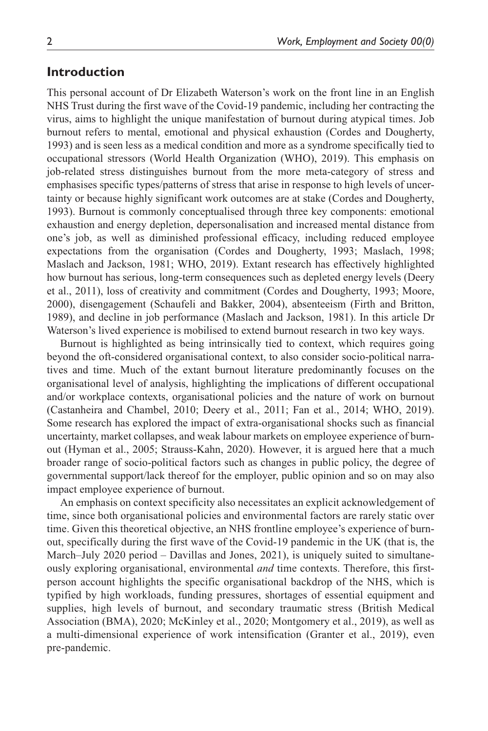### **Introduction**

This personal account of Dr Elizabeth Waterson's work on the front line in an English NHS Trust during the first wave of the Covid-19 pandemic, including her contracting the virus, aims to highlight the unique manifestation of burnout during atypical times. Job burnout refers to mental, emotional and physical exhaustion (Cordes and Dougherty, 1993) and is seen less as a medical condition and more as a syndrome specifically tied to occupational stressors (World Health Organization (WHO), 2019). This emphasis on job-related stress distinguishes burnout from the more meta-category of stress and emphasises specific types/patterns of stress that arise in response to high levels of uncertainty or because highly significant work outcomes are at stake (Cordes and Dougherty, 1993). Burnout is commonly conceptualised through three key components: emotional exhaustion and energy depletion, depersonalisation and increased mental distance from one's job, as well as diminished professional efficacy, including reduced employee expectations from the organisation (Cordes and Dougherty, 1993; Maslach, 1998; Maslach and Jackson, 1981; WHO, 2019). Extant research has effectively highlighted how burnout has serious, long-term consequences such as depleted energy levels (Deery et al., 2011), loss of creativity and commitment (Cordes and Dougherty, 1993; Moore, 2000), disengagement (Schaufeli and Bakker, 2004), absenteeism (Firth and Britton, 1989), and decline in job performance (Maslach and Jackson, 1981). In this article Dr Waterson's lived experience is mobilised to extend burnout research in two key ways.

Burnout is highlighted as being intrinsically tied to context, which requires going beyond the oft-considered organisational context, to also consider socio-political narratives and time. Much of the extant burnout literature predominantly focuses on the organisational level of analysis, highlighting the implications of different occupational and/or workplace contexts, organisational policies and the nature of work on burnout (Castanheira and Chambel, 2010; Deery et al., 2011; Fan et al., 2014; WHO, 2019). Some research has explored the impact of extra-organisational shocks such as financial uncertainty, market collapses, and weak labour markets on employee experience of burnout (Hyman et al., 2005; Strauss-Kahn, 2020). However, it is argued here that a much broader range of socio-political factors such as changes in public policy, the degree of governmental support/lack thereof for the employer, public opinion and so on may also impact employee experience of burnout.

An emphasis on context specificity also necessitates an explicit acknowledgement of time, since both organisational policies and environmental factors are rarely static over time. Given this theoretical objective, an NHS frontline employee's experience of burnout, specifically during the first wave of the Covid-19 pandemic in the UK (that is, the March–July 2020 period – Davillas and Jones, 2021), is uniquely suited to simultaneously exploring organisational, environmental *and* time contexts. Therefore, this firstperson account highlights the specific organisational backdrop of the NHS, which is typified by high workloads, funding pressures, shortages of essential equipment and supplies, high levels of burnout, and secondary traumatic stress (British Medical Association (BMA), 2020; McKinley et al., 2020; Montgomery et al., 2019), as well as a multi-dimensional experience of work intensification (Granter et al., 2019), even pre-pandemic.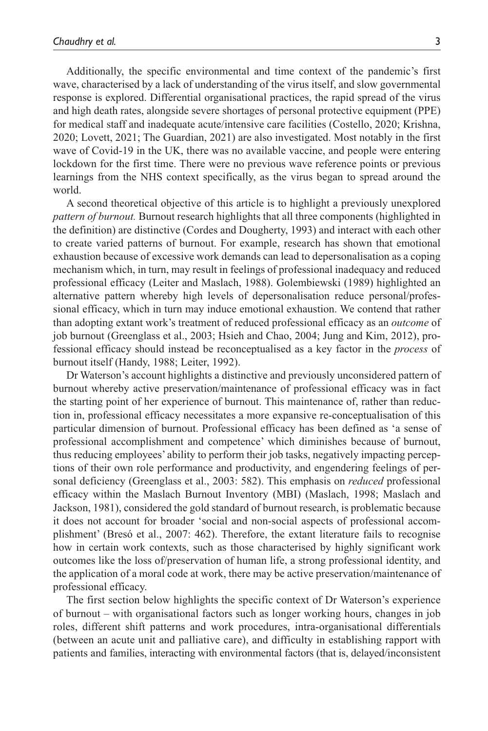Additionally, the specific environmental and time context of the pandemic's first wave, characterised by a lack of understanding of the virus itself, and slow governmental response is explored. Differential organisational practices, the rapid spread of the virus and high death rates, alongside severe shortages of personal protective equipment (PPE) for medical staff and inadequate acute/intensive care facilities (Costello, 2020; Krishna, 2020; Lovett, 2021; The Guardian, 2021) are also investigated. Most notably in the first wave of Covid-19 in the UK, there was no available vaccine, and people were entering lockdown for the first time. There were no previous wave reference points or previous learnings from the NHS context specifically, as the virus began to spread around the world.

A second theoretical objective of this article is to highlight a previously unexplored *pattern of burnout.* Burnout research highlights that all three components (highlighted in the definition) are distinctive (Cordes and Dougherty, 1993) and interact with each other to create varied patterns of burnout. For example, research has shown that emotional exhaustion because of excessive work demands can lead to depersonalisation as a coping mechanism which, in turn, may result in feelings of professional inadequacy and reduced professional efficacy (Leiter and Maslach, 1988). Golembiewski (1989) highlighted an alternative pattern whereby high levels of depersonalisation reduce personal/professional efficacy, which in turn may induce emotional exhaustion. We contend that rather than adopting extant work's treatment of reduced professional efficacy as an *outcome* of job burnout (Greenglass et al., 2003; Hsieh and Chao, 2004; Jung and Kim, 2012), professional efficacy should instead be reconceptualised as a key factor in the *process* of burnout itself (Handy, 1988; Leiter, 1992).

Dr Waterson's account highlights a distinctive and previously unconsidered pattern of burnout whereby active preservation/maintenance of professional efficacy was in fact the starting point of her experience of burnout. This maintenance of, rather than reduction in, professional efficacy necessitates a more expansive re-conceptualisation of this particular dimension of burnout. Professional efficacy has been defined as 'a sense of professional accomplishment and competence' which diminishes because of burnout, thus reducing employees' ability to perform their job tasks, negatively impacting perceptions of their own role performance and productivity, and engendering feelings of personal deficiency (Greenglass et al., 2003: 582). This emphasis on *reduced* professional efficacy within the Maslach Burnout Inventory (MBI) (Maslach, 1998; Maslach and Jackson, 1981), considered the gold standard of burnout research, is problematic because it does not account for broader 'social and non-social aspects of professional accomplishment' (Bresó et al., 2007: 462). Therefore, the extant literature fails to recognise how in certain work contexts, such as those characterised by highly significant work outcomes like the loss of/preservation of human life, a strong professional identity, and the application of a moral code at work, there may be active preservation/maintenance of professional efficacy.

The first section below highlights the specific context of Dr Waterson's experience of burnout – with organisational factors such as longer working hours, changes in job roles, different shift patterns and work procedures, intra-organisational differentials (between an acute unit and palliative care), and difficulty in establishing rapport with patients and families, interacting with environmental factors (that is, delayed/inconsistent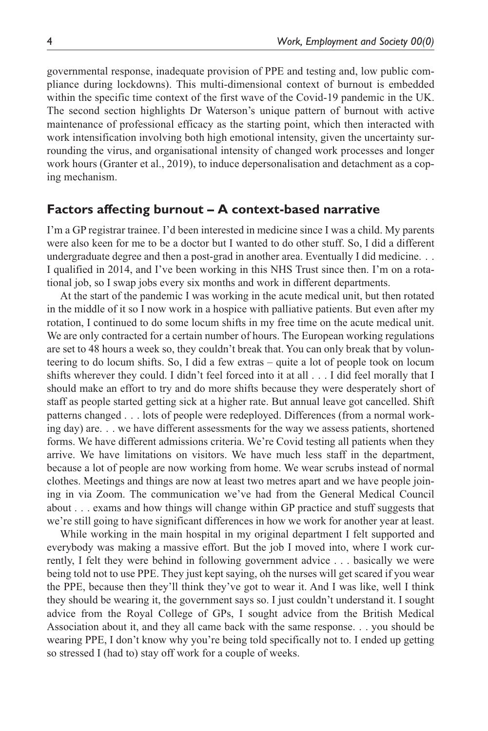governmental response, inadequate provision of PPE and testing and, low public compliance during lockdowns). This multi-dimensional context of burnout is embedded within the specific time context of the first wave of the Covid-19 pandemic in the UK. The second section highlights Dr Waterson's unique pattern of burnout with active maintenance of professional efficacy as the starting point, which then interacted with work intensification involving both high emotional intensity, given the uncertainty surrounding the virus, and organisational intensity of changed work processes and longer work hours (Granter et al., 2019), to induce depersonalisation and detachment as a coping mechanism.

### **Factors affecting burnout – A context-based narrative**

I'm a GP registrar trainee. I'd been interested in medicine since I was a child. My parents were also keen for me to be a doctor but I wanted to do other stuff. So, I did a different undergraduate degree and then a post-grad in another area. Eventually I did medicine. . . I qualified in 2014, and I've been working in this NHS Trust since then. I'm on a rotational job, so I swap jobs every six months and work in different departments.

At the start of the pandemic I was working in the acute medical unit, but then rotated in the middle of it so I now work in a hospice with palliative patients. But even after my rotation, I continued to do some locum shifts in my free time on the acute medical unit. We are only contracted for a certain number of hours. The European working regulations are set to 48 hours a week so, they couldn't break that. You can only break that by volunteering to do locum shifts. So, I did a few extras – quite a lot of people took on locum shifts wherever they could. I didn't feel forced into it at all . . . I did feel morally that I should make an effort to try and do more shifts because they were desperately short of staff as people started getting sick at a higher rate. But annual leave got cancelled. Shift patterns changed . . . lots of people were redeployed. Differences (from a normal working day) are. . . we have different assessments for the way we assess patients, shortened forms. We have different admissions criteria. We're Covid testing all patients when they arrive. We have limitations on visitors. We have much less staff in the department, because a lot of people are now working from home. We wear scrubs instead of normal clothes. Meetings and things are now at least two metres apart and we have people joining in via Zoom. The communication we've had from the General Medical Council about . . . exams and how things will change within GP practice and stuff suggests that we're still going to have significant differences in how we work for another year at least.

While working in the main hospital in my original department I felt supported and everybody was making a massive effort. But the job I moved into, where I work currently, I felt they were behind in following government advice . . . basically we were being told not to use PPE. They just kept saying, oh the nurses will get scared if you wear the PPE, because then they'll think they've got to wear it. And I was like, well I think they should be wearing it, the government says so. I just couldn't understand it. I sought advice from the Royal College of GPs, I sought advice from the British Medical Association about it, and they all came back with the same response. . . you should be wearing PPE, I don't know why you're being told specifically not to. I ended up getting so stressed I (had to) stay off work for a couple of weeks.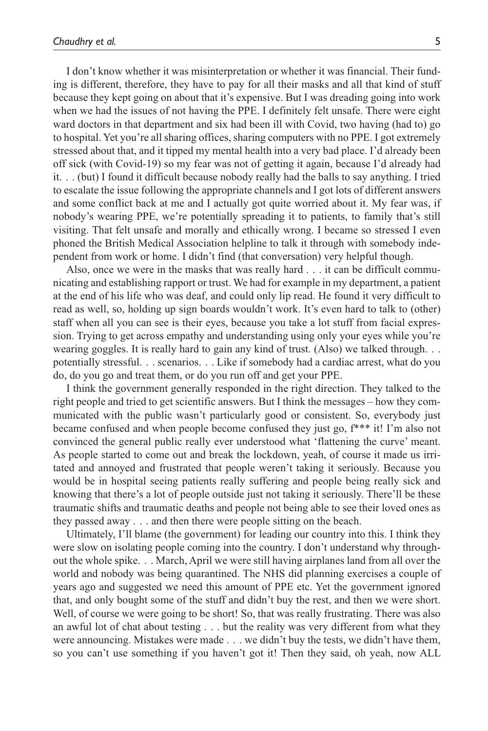I don't know whether it was misinterpretation or whether it was financial. Their funding is different, therefore, they have to pay for all their masks and all that kind of stuff because they kept going on about that it's expensive. But I was dreading going into work when we had the issues of not having the PPE. I definitely felt unsafe. There were eight ward doctors in that department and six had been ill with Covid, two having (had to) go to hospital. Yet you're all sharing offices, sharing computers with no PPE. I got extremely stressed about that, and it tipped my mental health into a very bad place. I'd already been off sick (with Covid-19) so my fear was not of getting it again, because I'd already had it. . . (but) I found it difficult because nobody really had the balls to say anything. I tried to escalate the issue following the appropriate channels and I got lots of different answers and some conflict back at me and I actually got quite worried about it. My fear was, if nobody's wearing PPE, we're potentially spreading it to patients, to family that's still visiting. That felt unsafe and morally and ethically wrong. I became so stressed I even phoned the British Medical Association helpline to talk it through with somebody independent from work or home. I didn't find (that conversation) very helpful though.

Also, once we were in the masks that was really hard . . . it can be difficult communicating and establishing rapport or trust. We had for example in my department, a patient at the end of his life who was deaf, and could only lip read. He found it very difficult to read as well, so, holding up sign boards wouldn't work. It's even hard to talk to (other) staff when all you can see is their eyes, because you take a lot stuff from facial expression. Trying to get across empathy and understanding using only your eyes while you're wearing goggles. It is really hard to gain any kind of trust. (Also) we talked through. . . potentially stressful. . . scenarios. . . Like if somebody had a cardiac arrest, what do you do, do you go and treat them, or do you run off and get your PPE.

I think the government generally responded in the right direction. They talked to the right people and tried to get scientific answers. But I think the messages – how they communicated with the public wasn't particularly good or consistent. So, everybody just became confused and when people become confused they just go, f\*\*\* it! I'm also not convinced the general public really ever understood what 'flattening the curve' meant. As people started to come out and break the lockdown, yeah, of course it made us irritated and annoyed and frustrated that people weren't taking it seriously. Because you would be in hospital seeing patients really suffering and people being really sick and knowing that there's a lot of people outside just not taking it seriously. There'll be these traumatic shifts and traumatic deaths and people not being able to see their loved ones as they passed away . . . and then there were people sitting on the beach.

Ultimately, I'll blame (the government) for leading our country into this. I think they were slow on isolating people coming into the country. I don't understand why throughout the whole spike. . . March, April we were still having airplanes land from all over the world and nobody was being quarantined. The NHS did planning exercises a couple of years ago and suggested we need this amount of PPE etc. Yet the government ignored that, and only bought some of the stuff and didn't buy the rest, and then we were short. Well, of course we were going to be short! So, that was really frustrating. There was also an awful lot of chat about testing . . . but the reality was very different from what they were announcing. Mistakes were made . . . we didn't buy the tests, we didn't have them, so you can't use something if you haven't got it! Then they said, oh yeah, now ALL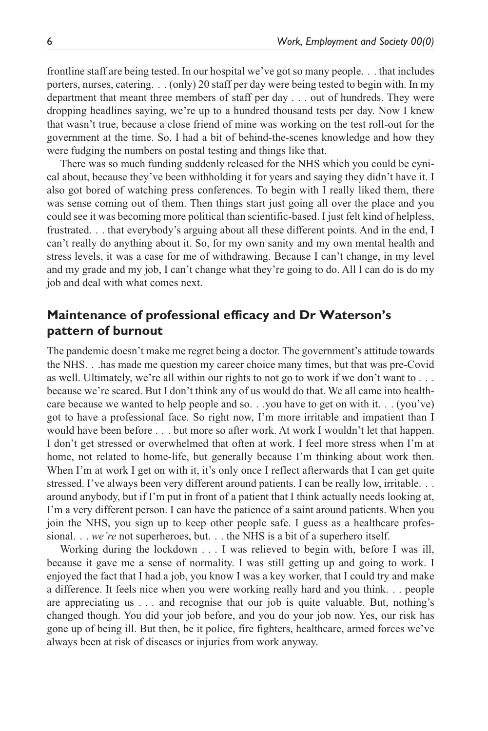frontline staff are being tested. In our hospital we've got so many people. . . that includes porters, nurses, catering. . . (only) 20 staff per day were being tested to begin with. In my department that meant three members of staff per day . . . out of hundreds. They were dropping headlines saying, we're up to a hundred thousand tests per day. Now I knew that wasn't true, because a close friend of mine was working on the test roll-out for the government at the time. So, I had a bit of behind-the-scenes knowledge and how they were fudging the numbers on postal testing and things like that.

There was so much funding suddenly released for the NHS which you could be cynical about, because they've been withholding it for years and saying they didn't have it. I also got bored of watching press conferences. To begin with I really liked them, there was sense coming out of them. Then things start just going all over the place and you could see it was becoming more political than scientific-based. I just felt kind of helpless, frustrated. . . that everybody's arguing about all these different points. And in the end, I can't really do anything about it. So, for my own sanity and my own mental health and stress levels, it was a case for me of withdrawing. Because I can't change, in my level and my grade and my job, I can't change what they're going to do. All I can do is do my job and deal with what comes next.

# **Maintenance of professional efficacy and Dr Waterson's pattern of burnout**

The pandemic doesn't make me regret being a doctor. The government's attitude towards the NHS. . .has made me question my career choice many times, but that was pre-Covid as well. Ultimately, we're all within our rights to not go to work if we don't want to . . . because we're scared. But I don't think any of us would do that. We all came into healthcare because we wanted to help people and so. . .you have to get on with it. . . (you've) got to have a professional face. So right now, I'm more irritable and impatient than I would have been before . . . but more so after work. At work I wouldn't let that happen. I don't get stressed or overwhelmed that often at work. I feel more stress when I'm at home, not related to home-life, but generally because I'm thinking about work then. When I'm at work I get on with it, it's only once I reflect afterwards that I can get quite stressed. I've always been very different around patients. I can be really low, irritable. . . around anybody, but if I'm put in front of a patient that I think actually needs looking at, I'm a very different person. I can have the patience of a saint around patients. When you join the NHS, you sign up to keep other people safe. I guess as a healthcare professional. . . *we're* not superheroes, but. . . the NHS is a bit of a superhero itself.

Working during the lockdown . . . I was relieved to begin with, before I was ill, because it gave me a sense of normality. I was still getting up and going to work. I enjoyed the fact that I had a job, you know I was a key worker, that I could try and make a difference. It feels nice when you were working really hard and you think. . . people are appreciating us . . . and recognise that our job is quite valuable. But, nothing's changed though. You did your job before, and you do your job now. Yes, our risk has gone up of being ill. But then, be it police, fire fighters, healthcare, armed forces we've always been at risk of diseases or injuries from work anyway.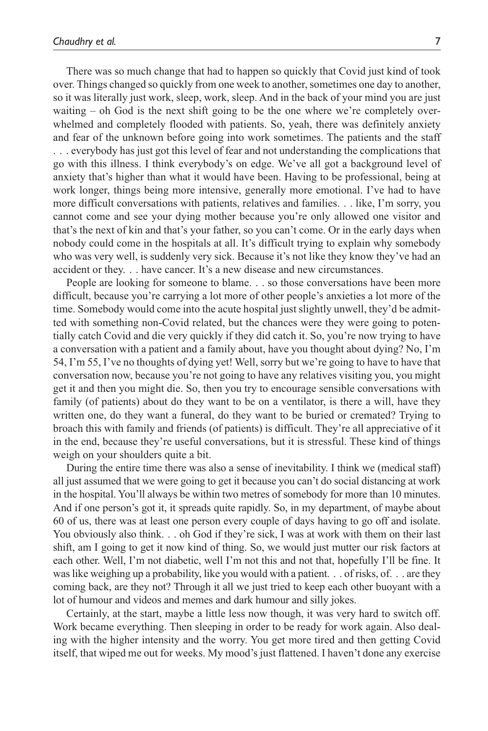There was so much change that had to happen so quickly that Covid just kind of took over. Things changed so quickly from one week to another, sometimes one day to another, so it was literally just work, sleep, work, sleep. And in the back of your mind you are just waiting – oh God is the next shift going to be the one where we're completely overwhelmed and completely flooded with patients. So, yeah, there was definitely anxiety and fear of the unknown before going into work sometimes. The patients and the staff . . . everybody has just got this level of fear and not understanding the complications that go with this illness. I think everybody's on edge. We've all got a background level of anxiety that's higher than what it would have been. Having to be professional, being at work longer, things being more intensive, generally more emotional. I've had to have more difficult conversations with patients, relatives and families. . . like, I'm sorry, you cannot come and see your dying mother because you're only allowed one visitor and that's the next of kin and that's your father, so you can't come. Or in the early days when nobody could come in the hospitals at all. It's difficult trying to explain why somebody who was very well, is suddenly very sick. Because it's not like they know they've had an accident or they. . . have cancer. It's a new disease and new circumstances.

People are looking for someone to blame. . . so those conversations have been more difficult, because you're carrying a lot more of other people's anxieties a lot more of the time. Somebody would come into the acute hospital just slightly unwell, they'd be admitted with something non-Covid related, but the chances were they were going to potentially catch Covid and die very quickly if they did catch it. So, you're now trying to have a conversation with a patient and a family about, have you thought about dying? No, I'm 54, I'm 55, I've no thoughts of dying yet! Well, sorry but we're going to have to have that conversation now, because you're not going to have any relatives visiting you, you might get it and then you might die. So, then you try to encourage sensible conversations with family (of patients) about do they want to be on a ventilator, is there a will, have they written one, do they want a funeral, do they want to be buried or cremated? Trying to broach this with family and friends (of patients) is difficult. They're all appreciative of it in the end, because they're useful conversations, but it is stressful. These kind of things weigh on your shoulders quite a bit.

During the entire time there was also a sense of inevitability. I think we (medical staff) all just assumed that we were going to get it because you can't do social distancing at work in the hospital. You'll always be within two metres of somebody for more than 10 minutes. And if one person's got it, it spreads quite rapidly. So, in my department, of maybe about 60 of us, there was at least one person every couple of days having to go off and isolate. You obviously also think. . . oh God if they're sick, I was at work with them on their last shift, am I going to get it now kind of thing. So, we would just mutter our risk factors at each other. Well, I'm not diabetic, well I'm not this and not that, hopefully I'll be fine. It was like weighing up a probability, like you would with a patient. . . of risks, of. . . are they coming back, are they not? Through it all we just tried to keep each other buoyant with a lot of humour and videos and memes and dark humour and silly jokes.

Certainly, at the start, maybe a little less now though, it was very hard to switch off. Work became everything. Then sleeping in order to be ready for work again. Also dealing with the higher intensity and the worry. You get more tired and then getting Covid itself, that wiped me out for weeks. My mood's just flattened. I haven't done any exercise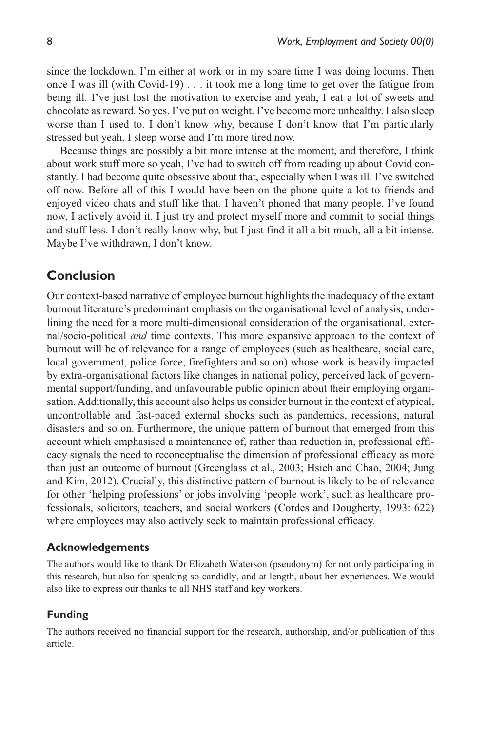since the lockdown. I'm either at work or in my spare time I was doing locums. Then once I was ill (with Covid-19) . . . it took me a long time to get over the fatigue from being ill. I've just lost the motivation to exercise and yeah, I eat a lot of sweets and chocolate as reward. So yes, I've put on weight. I've become more unhealthy. I also sleep worse than I used to. I don't know why, because I don't know that I'm particularly stressed but yeah, I sleep worse and I'm more tired now.

Because things are possibly a bit more intense at the moment, and therefore, I think about work stuff more so yeah, I've had to switch off from reading up about Covid constantly. I had become quite obsessive about that, especially when I was ill. I've switched off now. Before all of this I would have been on the phone quite a lot to friends and enjoyed video chats and stuff like that. I haven't phoned that many people. I've found now, I actively avoid it. I just try and protect myself more and commit to social things and stuff less. I don't really know why, but I just find it all a bit much, all a bit intense. Maybe I've withdrawn, I don't know.

## **Conclusion**

Our context-based narrative of employee burnout highlights the inadequacy of the extant burnout literature's predominant emphasis on the organisational level of analysis, underlining the need for a more multi-dimensional consideration of the organisational, external/socio-political *and* time contexts. This more expansive approach to the context of burnout will be of relevance for a range of employees (such as healthcare, social care, local government, police force, firefighters and so on) whose work is heavily impacted by extra-organisational factors like changes in national policy, perceived lack of governmental support/funding, and unfavourable public opinion about their employing organisation. Additionally, this account also helps us consider burnout in the context of atypical, uncontrollable and fast-paced external shocks such as pandemics, recessions, natural disasters and so on. Furthermore, the unique pattern of burnout that emerged from this account which emphasised a maintenance of, rather than reduction in, professional efficacy signals the need to reconceptualise the dimension of professional efficacy as more than just an outcome of burnout (Greenglass et al., 2003; Hsieh and Chao, 2004; Jung and Kim, 2012). Crucially, this distinctive pattern of burnout is likely to be of relevance for other 'helping professions' or jobs involving 'people work', such as healthcare professionals, solicitors, teachers, and social workers (Cordes and Dougherty, 1993: 622) where employees may also actively seek to maintain professional efficacy.

#### **Acknowledgements**

The authors would like to thank Dr Elizabeth Waterson (pseudonym) for not only participating in this research, but also for speaking so candidly, and at length, about her experiences. We would also like to express our thanks to all NHS staff and key workers.

### **Funding**

The authors received no financial support for the research, authorship, and/or publication of this article.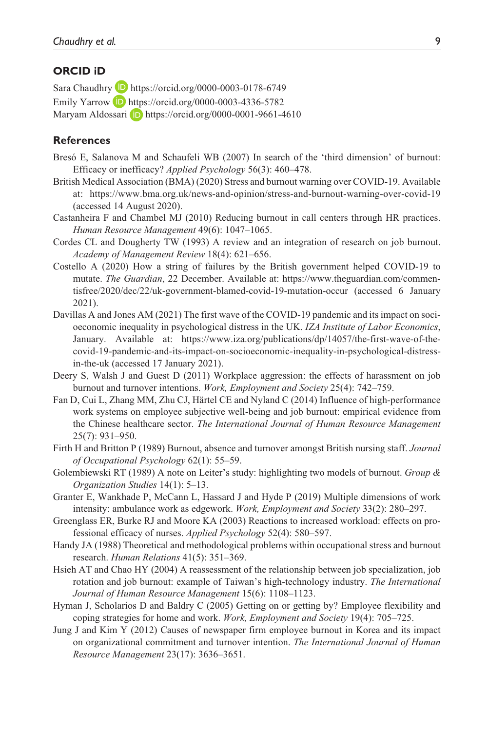#### **ORCID iD**

Sara Chaudhry **D** <https://orcid.org/0000-0003-0178-6749> Emily Yarrow  $\Box$  <https://orcid.org/0000-0003-4336-5782> Maryam Aldossari **iD** <https://orcid.org/0000-0001-9661-4610>

### **References**

- Bresó E, Salanova M and Schaufeli WB (2007) In search of the 'third dimension' of burnout: Efficacy or inefficacy? *Applied Psychology* 56(3): 460–478.
- British Medical Association (BMA) (2020) Stress and burnout warning over COVID-19. Available at: <https://www.bma.org.uk/news-and-opinion/stress-and-burnout-warning-over-covid-19> (accessed 14 August 2020).
- Castanheira F and Chambel MJ (2010) Reducing burnout in call centers through HR practices. *Human Resource Management* 49(6): 1047–1065.
- Cordes CL and Dougherty TW (1993) A review and an integration of research on job burnout. *Academy of Management Review* 18(4): 621–656.
- Costello A (2020) How a string of failures by the British government helped COVID-19 to mutate. *The Guardian*, 22 December. Available at: [https://www.theguardian.com/commen](https://www.theguardian.com/commentisfree/2020/dec/22/uk-government-blamed-covid-19-mutation-occur)[tisfree/2020/dec/22/uk-government-blamed-covid-19-mutation-occur](https://www.theguardian.com/commentisfree/2020/dec/22/uk-government-blamed-covid-19-mutation-occur) (accessed 6 January 2021).
- Davillas A and Jones AM (2021) The first wave of the COVID-19 pandemic and its impact on socioeconomic inequality in psychological distress in the UK. *IZA Institute of Labor Economics*, January. Available at: [https://www.iza.org/publications/dp/14057/the-first-wave-of-the](https://www.iza.org/publications/dp/14057/the-first-wave-of-the-covid-19-pandemic-and-its-impact-on-socioeconomic-inequality-in-psychological-distress-in-the-uk)[covid-19-pandemic-and-its-impact-on-socioeconomic-inequality-in-psychological-distress](https://www.iza.org/publications/dp/14057/the-first-wave-of-the-covid-19-pandemic-and-its-impact-on-socioeconomic-inequality-in-psychological-distress-in-the-uk)[in-the-uk](https://www.iza.org/publications/dp/14057/the-first-wave-of-the-covid-19-pandemic-and-its-impact-on-socioeconomic-inequality-in-psychological-distress-in-the-uk) (accessed 17 January 2021).
- Deery S, Walsh J and Guest D (2011) Workplace aggression: the effects of harassment on job burnout and turnover intentions. *Work, Employment and Society* 25(4): 742–759.
- Fan D, Cui L, Zhang MM, Zhu CJ, Härtel CE and Nyland C (2014) Influence of high-performance work systems on employee subjective well-being and job burnout: empirical evidence from the Chinese healthcare sector. *The International Journal of Human Resource Management* 25(7): 931–950.
- Firth H and Britton P (1989) Burnout, absence and turnover amongst British nursing staff. *Journal of Occupational Psychology* 62(1): 55–59.
- Golembiewski RT (1989) A note on Leiter's study: highlighting two models of burnout. *Group & Organization Studies* 14(1): 5–13.
- Granter E, Wankhade P, McCann L, Hassard J and Hyde P (2019) Multiple dimensions of work intensity: ambulance work as edgework. *Work, Employment and Society* 33(2): 280–297.
- Greenglass ER, Burke RJ and Moore KA (2003) Reactions to increased workload: effects on professional efficacy of nurses. *Applied Psychology* 52(4): 580–597.
- Handy JA (1988) Theoretical and methodological problems within occupational stress and burnout research. *Human Relations* 41(5): 351–369.
- Hsieh AT and Chao HY (2004) A reassessment of the relationship between job specialization, job rotation and job burnout: example of Taiwan's high-technology industry. *The International Journal of Human Resource Management* 15(6): 1108–1123.
- Hyman J, Scholarios D and Baldry C (2005) Getting on or getting by? Employee flexibility and coping strategies for home and work. *Work, Employment and Society* 19(4): 705–725.
- Jung J and Kim Y (2012) Causes of newspaper firm employee burnout in Korea and its impact on organizational commitment and turnover intention. *The International Journal of Human Resource Management* 23(17): 3636–3651.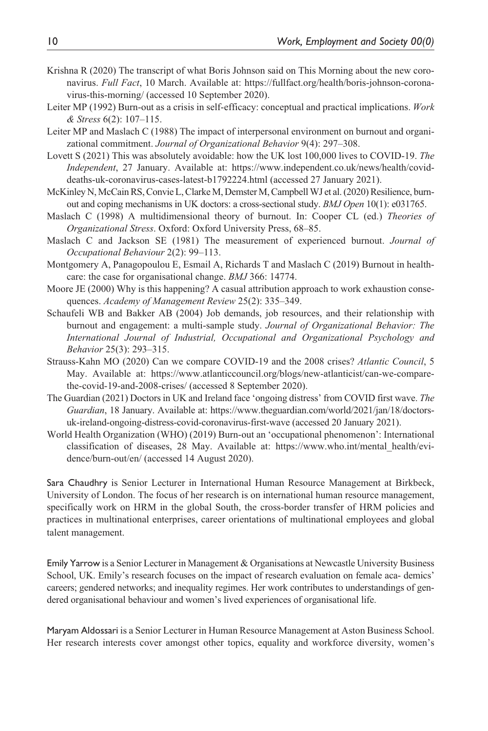- Krishna R (2020) The transcript of what Boris Johnson said on This Morning about the new coronavirus. *Full Fact*, 10 March. Available at: [https://fullfact.org/health/boris-johnson-corona](https://fullfact.org/health/boris-johnson-coronavirus-this-morning/)[virus-this-morning/](https://fullfact.org/health/boris-johnson-coronavirus-this-morning/) (accessed 10 September 2020).
- Leiter MP (1992) Burn-out as a crisis in self-efficacy: conceptual and practical implications. *Work & Stress* 6(2): 107–115.
- Leiter MP and Maslach C (1988) The impact of interpersonal environment on burnout and organizational commitment. *Journal of Organizational Behavior* 9(4): 297–308.
- Lovett S (2021) This was absolutely avoidable: how the UK lost 100,000 lives to COVID-19. *The Independent*, 27 January. Available at: [https://www.independent.co.uk/news/health/covid](https://www.independent.co.uk/news/health/covid-deaths-uk-coronavirus-cases-latest-b1792224.html)[deaths-uk-coronavirus-cases-latest-b1792224.html](https://www.independent.co.uk/news/health/covid-deaths-uk-coronavirus-cases-latest-b1792224.html) (accessed 27 January 2021).
- McKinley N, McCain RS, Convie L, Clarke M, Demster M, Campbell WJ et al. (2020) Resilience, burnout and coping mechanisms in UK doctors: a cross-sectional study. *BMJ Open* 10(1): e031765.
- Maslach C (1998) A multidimensional theory of burnout. In: Cooper CL (ed.) *Theories of Organizational Stress*. Oxford: Oxford University Press, 68–85.
- Maslach C and Jackson SE (1981) The measurement of experienced burnout. *Journal of Occupational Behaviour* 2(2): 99–113.
- Montgomery A, Panagopoulou E, Esmail A, Richards T and Maslach C (2019) Burnout in healthcare: the case for organisational change. *BMJ* 366: 14774.
- Moore JE (2000) Why is this happening? A casual attribution approach to work exhaustion consequences. *Academy of Management Review* 25(2): 335–349.
- Schaufeli WB and Bakker AB (2004) Job demands, job resources, and their relationship with burnout and engagement: a multi-sample study. *Journal of Organizational Behavior: The International Journal of Industrial, Occupational and Organizational Psychology and Behavior* 25(3): 293–315.
- Strauss-Kahn MO (2020) Can we compare COVID-19 and the 2008 crises? *Atlantic Council*, 5 May. Available at: [https://www.atlanticcouncil.org/blogs/new-atlanticist/can-we-compare](https://www.atlanticcouncil.org/blogs/new-atlanticist/can-we-compare-the-covid-19-and-2008-crises/)[the-covid-19-and-2008-crises/](https://www.atlanticcouncil.org/blogs/new-atlanticist/can-we-compare-the-covid-19-and-2008-crises/) (accessed 8 September 2020).
- The Guardian (2021) Doctors in UK and Ireland face 'ongoing distress' from COVID first wave. *The Guardian*, 18 January. Available at: [https://www.theguardian.com/world/2021/jan/18/doctors](https://www.theguardian.com/world/2021/jan/18/doctors-uk-ireland-ongoing-distress-covid-coronavirus-first-wave)[uk-ireland-ongoing-distress-covid-coronavirus-first-wave](https://www.theguardian.com/world/2021/jan/18/doctors-uk-ireland-ongoing-distress-covid-coronavirus-first-wave) (accessed 20 January 2021).
- World Health Organization (WHO) (2019) Burn-out an 'occupational phenomenon': International classification of diseases, 28 May. Available at: [https://www.who.int/mental\\_health/evi](https://www.who.int/mental_health/evidence/burn-out/en/)[dence/burn-out/en/](https://www.who.int/mental_health/evidence/burn-out/en/) (accessed 14 August 2020).

Sara Chaudhry is Senior Lecturer in International Human Resource Management at Birkbeck, University of London. The focus of her research is on international human resource management, specifically work on HRM in the global South, the cross-border transfer of HRM policies and practices in multinational enterprises, career orientations of multinational employees and global talent management.

Emily Yarrow is a Senior Lecturer in Management & Organisations at Newcastle University Business School, UK. Emily's research focuses on the impact of research evaluation on female aca- demics' careers; gendered networks; and inequality regimes. Her work contributes to understandings of gendered organisational behaviour and women's lived experiences of organisational life.

Maryam Aldossari is a Senior Lecturer in Human Resource Management at Aston Business School. Her research interests cover amongst other topics, equality and workforce diversity, women's